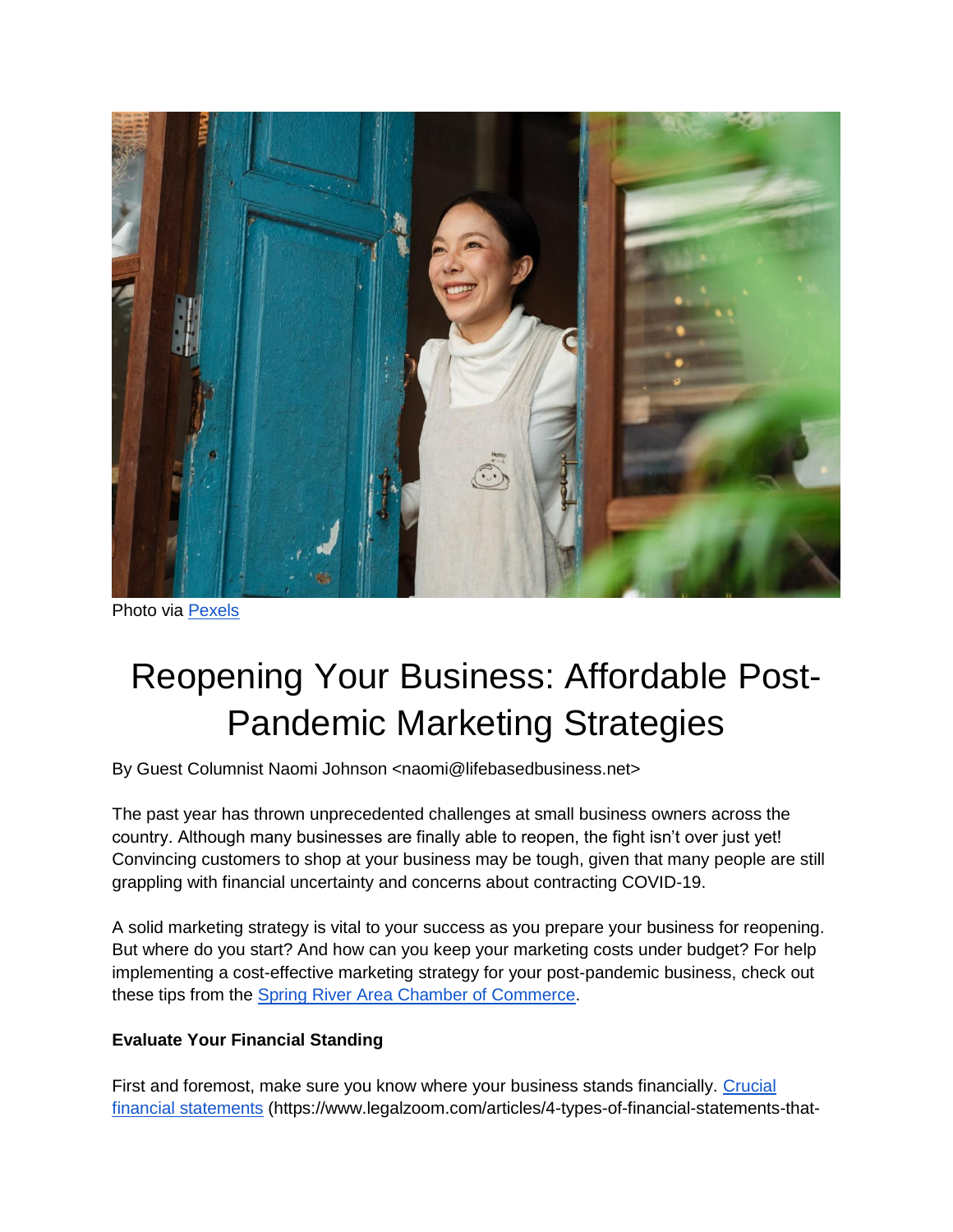

Photo via [Pexels](https://www.pexels.com/photo/happy-ethnic-woman-in-apron-standing-at-entrance-of-own-cafe-4473415/)

# Reopening Your Business: Affordable Post-Pandemic Marketing Strategies

By Guest Columnist Naomi Johnson <naomi@lifebasedbusiness.net>

The past year has thrown unprecedented challenges at small business owners across the country. Although many businesses are finally able to reopen, the fight isn't over just yet! Convincing customers to shop at your business may be tough, given that many people are still grappling with financial uncertainty and concerns about contracting COVID-19.

A solid marketing strategy is vital to your success as you prepare your business for reopening. But where do you start? And how can you keep your marketing costs under budget? For help implementing a cost-effective marketing strategy for your post-pandemic business, check out these tips from the [Spring River Area Chamber of Commerce.](http://sracc.org/)

# **Evaluate Your Financial Standing**

First and foremost, make sure you know where your business stands financially. Crucial [financial statements](https://www.legalzoom.com/articles/4-types-of-financial-statements-that-every-business-needs) (https://www.legalzoom.com/articles/4-types-of-financial-statements-that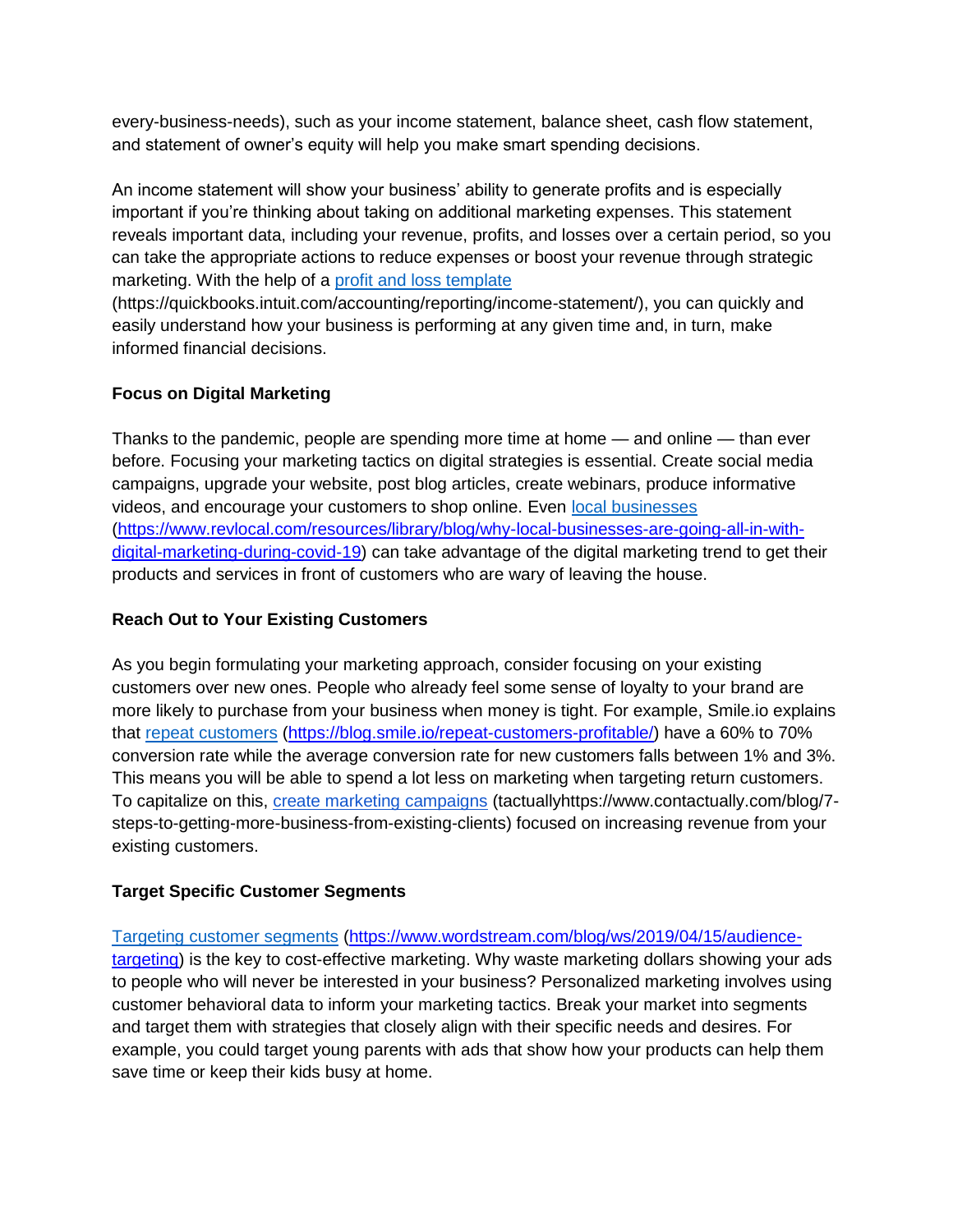every-business-needs), such as your income statement, balance sheet, cash flow statement, and statement of owner's equity will help you make smart spending decisions.

An income statement will show your business' ability to generate profits and is especially important if you're thinking about taking on additional marketing expenses. This statement reveals important data, including your revenue, profits, and losses over a certain period, so you can take the appropriate actions to reduce expenses or boost your revenue through strategic marketing. With the help of a [profit and loss template](https://quickbooks.intuit.com/accounting/reporting/income-statement/)

(https://quickbooks.intuit.com/accounting/reporting/income-statement/), you can quickly and easily understand how your business is performing at any given time and, in turn, make informed financial decisions.

### **Focus on Digital Marketing**

Thanks to the pandemic, people are spending more time at home — and online — than ever before. Focusing your marketing tactics on digital strategies is essential. Create social media campaigns, upgrade your website, post blog articles, create webinars, produce informative videos, and encourage your customers to shop online. Even [local businesses](https://www.revlocal.com/resources/library/blog/why-local-businesses-are-going-all-in-with-digital-marketing-during-covid-19) [\(https://www.revlocal.com/resources/library/blog/why-local-businesses-are-going-all-in-with](https://www.revlocal.com/resources/library/blog/why-local-businesses-are-going-all-in-with-digital-marketing-during-covid-19)[digital-marketing-during-covid-19\)](https://www.revlocal.com/resources/library/blog/why-local-businesses-are-going-all-in-with-digital-marketing-during-covid-19) can take advantage of the digital marketing trend to get their products and services in front of customers who are wary of leaving the house.

# **Reach Out to Your Existing Customers**

As you begin formulating your marketing approach, consider focusing on your existing customers over new ones. People who already feel some sense of loyalty to your brand are more likely to purchase from your business when money is tight. For example, Smile.io explains that [repeat customers](https://blog.smile.io/repeat-customers-profitable/) [\(https://blog.smile.io/repeat-customers-profitable/\)](https://blog.smile.io/repeat-customers-profitable/) have a 60% to 70% conversion rate while the average conversion rate for new customers falls between 1% and 3%. This means you will be able to spend a lot less on marketing when targeting return customers. To capitalize on this, [create marketing campaigns](https://www.contactually.com/blog/7-steps-to-getting-more-business-from-existing-clients) (tactuallyhttps://www.contactually.com/blog/7 steps-to-getting-more-business-from-existing-clients) focused on increasing revenue from your existing customers.

# **Target Specific Customer Segments**

[Targeting customer segments](https://www.wordstream.com/blog/ws/2019/04/15/audience-targeting) [\(https://www.wordstream.com/blog/ws/2019/04/15/audience](https://www.wordstream.com/blog/ws/2019/04/15/audience-targeting)[targeting\)](https://www.wordstream.com/blog/ws/2019/04/15/audience-targeting) is the key to cost-effective marketing. Why waste marketing dollars showing your ads to people who will never be interested in your business? Personalized marketing involves using customer behavioral data to inform your marketing tactics. Break your market into segments and target them with strategies that closely align with their specific needs and desires. For example, you could target young parents with ads that show how your products can help them save time or keep their kids busy at home.